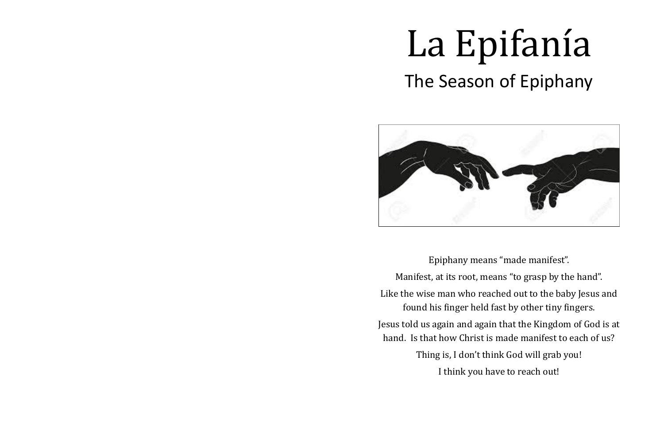Epiphany means "made manifest". Manifest, at its root, means "to grasp by the hand". Like the wise man who reached out to the baby Jesus and found his finger held fast by other tiny fingers. Jesus told us again and again that the Kingdom of God is at hand. Is that how Christ is made manifest to each of us? Thing is, I don't think God will grab you! I think you have to reach out!

# La Epifanía The Season of Epiphany

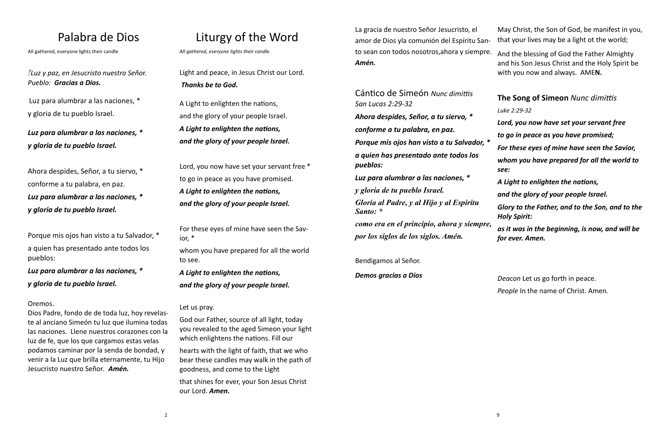# Palabra de Dios

All gathered, everyone lights their candle

*!Luz y paz, en Jesucristo nuestro Señor. Pueblo: Gracias a Dios.*

Luz para alumbrar a las naciones, \* y gloria de tu pueblo Israel.

*Luz para alumbrar a las naciones, \* y gloria de tu pueblo Israel.*

Ahora despides, Señor, a tu siervo, \* conforme a tu palabra, en paz. *Luz para alumbrar a las naciones, \* y gloria de tu pueblo Israel.*

Porque mis ojos han visto a tu Salvador, \* a quien has presentado ante todos los pueblos:

*Luz para alumbrar a las naciones, \* y gloria de tu pueblo Israel.*

### Oremos.

Dios Padre, fondo de de toda luz, hoy revelaste al anciano Simeón tu luz que ilumina todas las naciones. Llene nuestros corazones con la luz de fe, que los que cargamos estas velas podamos caminar por la senda de bondad, y venir a la Luz que brilla eternamente, tu Hijo Jesucristo nuestro Señor*. Amén.*

# Liturgy of the Word

*All gathered, everyone lights their candle.*

Light and peace, in Jesus Christ our Lord. *Thanks be to God.*

A Light to enlighten the nations, and the glory of your people Israel. *A Light to enlighten the nations, and the glory of your people Israel.*

Lord, you now have set your servant free \* to go in peace as you have promised. *A Light to enlighten the nations, and the glory of your people Israel.*

For these eyes of mine have seen the Savior, \*

whom you have prepared for all the world to see.

*A Light to enlighten the nations, and the glory of your people Israel.*

### Let us pray.

God our Father, source of all light, today you revealed to the aged Simeon your light which enlightens the nations. Fill our

hearts with the light of faith, that we who bear these candles may walk in the path of goodness, and come to the Light that shines for ever, your Son Jesus Christ our Lord. *Amen.*

Cántico de Simeón *Nunc dimittis San Lucas 2:29-32 Ahora despides, Señor, a tu siervo, \* conforme a tu palabra, en paz. Porque mis ojos han visto a tu Salvador, \* a quien has presentado ante todos los pueblos: Luz para alumbrar a las naciones, \**

La gracia de nuestro Señor Jesucristo, el amor de Dios yla comunión del Espíritu Santo sean con todos nosotros,ahora y siempre. *Amén.*  May Christ, the Son of God, be manifest in you, that your lives may be a light ot the world; And the blessing of God the Father Almighty and his Son Jesus Christ and the Holy Spirit be

*y gloria de tu pueblo Israel.*

*Gloria al Padre, y al Hijo y al Espíritu Santo: \**

*como era en el principio, ahora y siempre, por los siglos de los siglos. Amén.*

Bendigamos al Señor.

*Demos gracias a Dios* 

with you now and always. AME**N.**

### **The Song of Simeon** *Nunc dimittis*

*Luke 2:29-32*

*Lord, you now have set your servant free* 

*to go in peace as you have promised;*

*For these eyes of mine have seen the Savior,* 

*whom you have prepared for all the world to see:*

*A Light to enlighten the nations,* 

*and the glory of your people Israel.*

*Glory to the Father, and to the Son, and to the Holy Spirit:* 

*as it was in the beginning, is now, and will be for ever. Amen.*

*Deacon* Let us go forth in peace.

*People* In the name of Christ. Amen*.*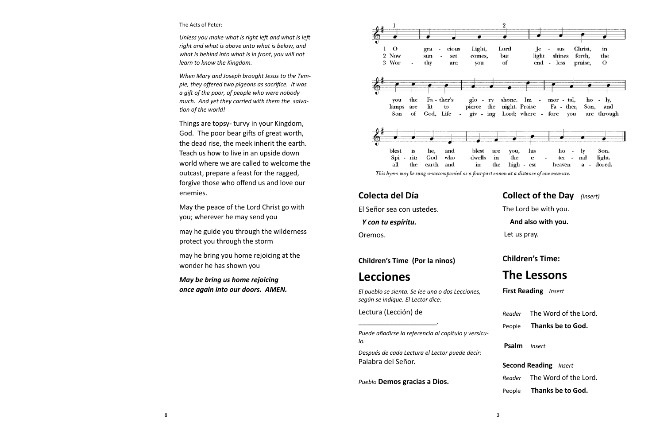### The Acts of Peter:

*Unless you make what is right left and what is left right and what is above unto what is below, and what is behind into what is in front, you will not learn to know the Kingdom.*

*When Mary and Joseph brought Jesus to the Temple, they offered two pigeons as sacrifice. It was a gift of the poor, of people who were nobody much. And yet they carried with them the salvation of the world!* 

Things are topsy- turvy in your Kingdom, God. The poor bear gifts of great worth, the dead rise, the meek inherit the earth. Teach us how to live in an upside down world where we are called to welcome the outcast, prepare a feast for the ragged, forgive those who offend us and love our enemies.

May the peace of the Lord Christ go with you; wherever he may send you

may he guide you through the wilderness protect you through the storm

may he bring you home rejoicing at the wonder he has shown you

*May be bring us home rejoicing once again into our doors. AMEN.*



This hymn may be sung unaccompanied as a four-part canon at a distance of one measure.

### **Colecta del Día**

El Señor sea con ustedes.

 *Y con tu espíritu.*

Oremos.

### **Children's Time (Por la ninos)**

# **Lecciones**

*El pueblo se sienta. Se lee una o dos Lecciones, según se indique. El Lector dice:*

Lectura (Lección) de

\_\_\_\_\_\_\_\_\_\_\_\_\_\_\_\_\_\_\_\_.

*Puede añadirse la referencia al capítulo y versículo.*

*Después de cada Lectura el Lector puede decir:*  Palabra del Señor.

*Pueblo* **Demos gracias a Dios.**

### **Collect of the Day** *(Insert)*

The Lord be with you.

### **And also with you.**

Let us pray.

### **Children's Time:**

## **The Lessons**

**First Reading** *Insert*

*Reader* The Word of the Lord.

- People **Thanks be to God.**
- **Psalm** *Insert*

### **Second Reading** *Insert*

*Reader* The Word of the Lord.

People **Thanks be to God.**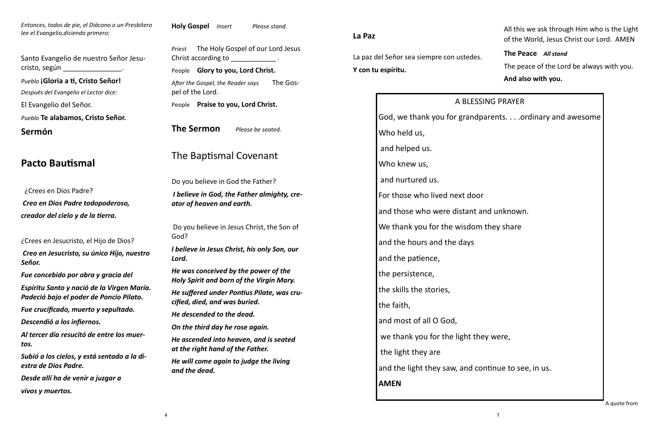*Entonces, todos de pie, el Diácono o un Presbítero lee el Evangelio,diciendo primero:*

Santo Evangelio de nuestro Señor Jesucristo, según \_\_\_\_\_\_\_\_\_\_\_\_\_\_\_. *Pueblo* **¡Gloria a ti, Cristo Señor!** *Después del Evangelio el Lector dice:* El Evangelio del Señor. *Pueblo* **Te alabamos, Cristo Señor.**

**Sermón**

# **Pacto Bautismal**

 ¿Crees en Dios Padre? *Creo en Dios Padre todopoderoso, creador del cielo y de la tierra.*

¿Crees en Jesucristo, el Hijo de Dios?

*Priest* The Holy Gospel of our Lord Jesus Christ according to \_\_\_\_\_\_\_\_\_\_\_\_\_\_\_\_.

*Creo en Jesucristo, su único Hijo, nuestro Señor.*

*Fue concebido por obra y gracia del*

*Espíritu Santo y nació de la Virgen María. Padeció bajo el poder de Poncio Pilato.*

*Fue crucificado, muerto y sepultado.*

*Descendió a los infiernos.*

*Al tercer día resucitó de entre los muertos.*

*Subió a los cielos, y está sentado a la diestra de Dios Padre.*

*Desde allí ha de venir a juzgar a vivos y muertos.*

**Holy Gospel** *Insert Please stand.*

People **Glory to you, Lord Christ.**

*After the Gospel, the Reader says* The Gospel of the Lord.

People **Praise to you, Lord Christ.**

**The Sermon** *Please be seated.*

# The Baptismal Covenant

Do you believe in God the Father?

*I believe in God, the Father almighty, creator of heaven and earth.*

Do you believe in Jesus Christ, the Son of God?

*I believe in Jesus Christ, his only Son, our Lord.*

*He was conceived by the power of the Holy Spirit and born of the Virgin Mary.*

*He suffered under Pontius Pilate, was crucified, died, and was buried.*

*He descended to the dead.*

*On the third day he rose again.*

*He ascended into heaven, and is seated at the right hand of the Father.*

*He will come again to judge the living and the dead.*

**La Paz**

La paz del Señor sea siempre con ustedes. **Y con tu espíritu.**

All this we ask through Him who is the Light of the World, Jesus Christ our Lord. AMEN

**The Peace** *All stand*

The peace of the Lord be always with you.

**And also with you.**

A BLESSING PRAYER God, we thank you for grandparents. . . .ordinary and awesome Who held us, and helped us. Who knew us, and nurtured us. For those who lived next door and those who were distant and unknown. We thank you for the wisdom they share and the hours and the days and the patience, the persistence, the skills the stories, the faith, and most of all O God, we thank you for the light they were, the light they are and the light they saw, and continue to see, in us. **AMEN**